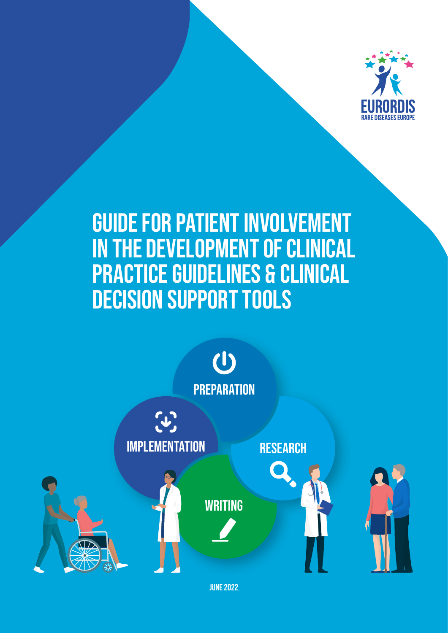

# **GUIDE FOR PATIENT INVOLVEMENT IN THE DEVELOPMENT OF CLINICAL PRACTICE GUIDELINES & CLINICAL DECISION SUPPORT TOOLS**



**JUNE 2022**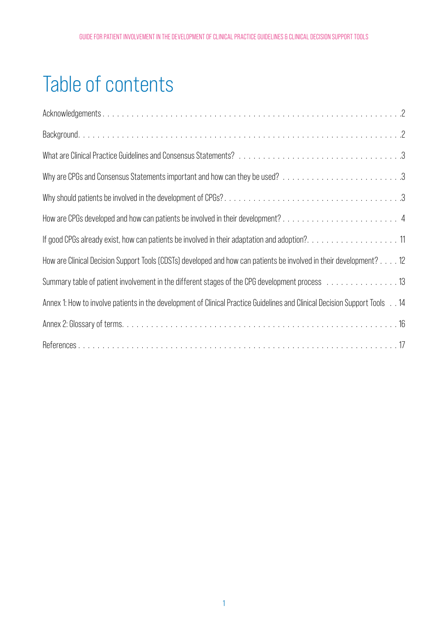# Table of contents

| How are CPGs developed and how can patients be involved in their development?4                                             |
|----------------------------------------------------------------------------------------------------------------------------|
| If good CPGs already exist, how can patients be involved in their adaptation and adoption?11                               |
| How are Clinical Decision Support Tools (CDSTs) developed and how can patients be involved in their development? 12        |
| Summary table of patient involvement in the different stages of the CPG development process 13                             |
| Annex 1: How to involve patients in the development of Clinical Practice Guidelines and Clinical Decision Support Tools 14 |
|                                                                                                                            |
|                                                                                                                            |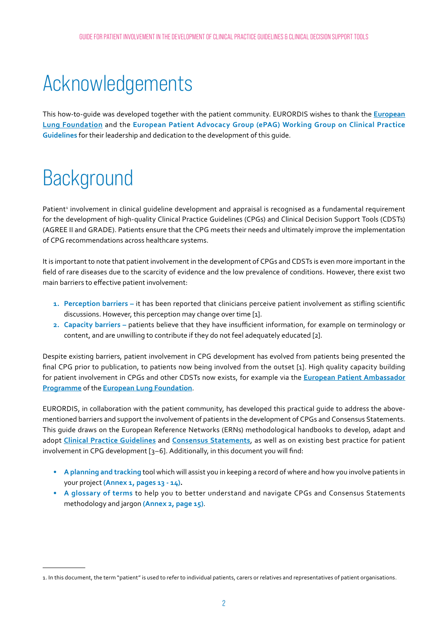# <span id="page-2-0"></span>Acknowledgements

This how-to-guide was developed together with the patient community. EURORDIS wishes to thank the **[European](https://europeanlung.org)  [Lung Foundation](https://europeanlung.org)** and the **European Patient Advocacy Group (ePAG) Working Group on Clinical Practice Guidelines** for their leadership and dedication to the development of this guide.

# **Background**

Patient<sup>1</sup> involvement in clinical guideline development and appraisal is recognised as a fundamental requirement for the development of high-quality Clinical Practice Guidelines (CPGs) and Clinical Decision Support Tools (CDSTs) (AGREE II and GRADE). Patients ensure that the CPG meets their needs and ultimately improve the implementation of CPG recommendations across healthcare systems.

It is important to note that patient involvement in the development of CPGs and CDSTs is even more important in the field of rare diseases due to the scarcity of evidence and the low prevalence of conditions. However, there exist two main barriers to effective patient involvement:

- **1. Perception barriers –** it has been reported that clinicians perceive patient involvement as stifling scientific discussions. However, this perception may change over time [1].
- **2. Capacity barriers –** patients believe that they have insufficient information, for example on terminology or content, and are unwilling to contribute if they do not feel adequately educated [2].

Despite existing barriers, patient involvement in CPG development has evolved from patients being presented the final CPG prior to publication, to patients now being involved from the outset [1]. High quality capacity building for patient involvement in CPGs and other CDSTs now exists, for example via the **[European Patient Ambassador](https://elearning.epaponline.eu/)  [Programme](https://elearning.epaponline.eu/)** of the **[European Lung Foundation](https://europeanlung.org)**.

EURORDIS, in collaboration with the patient community, has developed this practical guide to address the abovementioned barriers and support the involvement of patients in the development of CPGs and Consensus Statements. This guide draws on the European Reference Networks (ERNs) methodological handbooks to develop, adapt and adopt **C[linical Practice Guidelines](https://ern-ithaca.eu/wp-content/uploads/2021/02/Handbook-4-Elaboration_CPG_ERN-Guidelines.pdf)** and **[Consensus Statement](https://ern-ithaca.eu/wp-content/uploads/2021/02/Handbook-5-Elaboration_Clinical_Consensus_Statements_ERN-Guidelines.pdf)s**, as well as on existing best practice for patient involvement in CPG development [3–6]. Additionally, in this document you will find:

- **• A planning and tracking** tool which will assist you in keeping a record of where and how you involve patients in your project **(Annex 1, pages 13 - 14).**
- **• A glossary of terms** to help you to better understand and navigate CPGs and Consensus Statements methodology and jargon **(Annex 2, page 15)**.

<sup>1.</sup> In this document, the term "patient" is used to refer to individual patients, carers or relatives and representatives of patient organisations.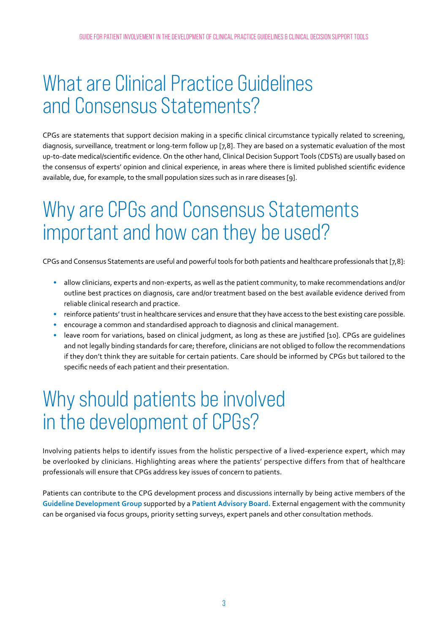# <span id="page-3-0"></span>What are Clinical Practice Guidelines and Consensus Statements?

CPGs are statements that support decision making in a specific clinical circumstance typically related to screening, diagnosis, surveillance, treatment or long-term follow up [7,8]. They are based on a systematic evaluation of the most up-to-date medical/scientific evidence. On the other hand, Clinical Decision Support Tools (CDSTs) are usually based on the consensus of experts' opinion and clinical experience, in areas where there is limited published scientific evidence available, due, for example, to the small population sizes such as in rare diseases [9].

## Why are CPGs and Consensus Statements important and how can they be used?

CPGs and Consensus Statements are useful and powerful tools for both patients and healthcare professionals that [7,8]:

- **•** allow clinicians, experts and non-experts, as well as the patient community, to make recommendations and/or outline best practices on diagnosis, care and/or treatment based on the best available evidence derived from reliable clinical research and practice.
- **•** reinforce patients' trust in healthcare services and ensure that they have access to the best existing care possible.
- **•** encourage a common and standardised approach to diagnosis and clinical management.
- **•** leave room for variations, based on clinical judgment, as long as these are justified [10]. CPGs are guidelines and not legally binding standards for care; therefore, clinicians are not obliged to follow the recommendations if they don't think they are suitable for certain patients. Care should be informed by CPGs but tailored to the specific needs of each patient and their presentation.

# Why should patients be involved in the development of CPGs?

Involving patients helps to identify issues from the holistic perspective of a lived-experience expert, which may be overlooked by clinicians. Highlighting areas where the patients' perspective differs from that of healthcare professionals will ensure that CPGs address key issues of concern to patients.

Patients can contribute to the CPG development process and discussions internally by being active members of the **Guideline Development Group** supported by a **Patient Advisory Board.** External engagement with the community can be organised via focus groups, priority setting surveys, expert panels and other consultation methods.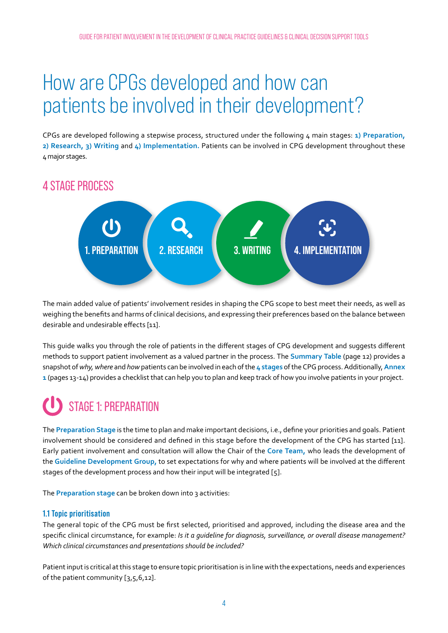# <span id="page-4-0"></span>How are CPGs developed and how can patients be involved in their development?

CPGs are developed following a stepwise process, structured under the following 4 main stages: **1) Preparation, 2) Research, 3) Writing** and **4) Implementation.** Patients can be involved in CPG development throughout these 4 major stages.

### 4 STAGE PROCESS



The main added value of patients' involvement resides in shaping the CPG scope to best meet their needs, as well as weighing the benefits and harms of clinical decisions, and expressing their preferences based on the balance between desirable and undesirable effects [11].

This guide walks you through the role of patients in the different stages of CPG development and suggests different methods to support patient involvement as a valued partner in the process. The **Summary Table** (page 12) provides a snapshot of *why, where* and *how* patients can be involved in each of the **4 stages** of the CPG process. Additionally, **Annex 1** (pages 13-14) provides a checklist that can help you to plan and keep track of how you involve patients in your project.

### STAGE 1: PREPARATION

The **Preparation Stage** is the time to plan and make important decisions, i.e., define your priorities and goals. Patient involvement should be considered and defined in this stage before the development of the CPG has started [11]. Early patient involvement and consultation will allow the Chair of the **Core Team,** who leads the development of the **Guideline Development Group,** to set expectations for why and where patients will be involved at the different stages of the development process and how their input will be integrated [5].

The **Preparation stage** can be broken down into 3 activities:

#### **1.1 Topic prioritisation**

The general topic of the CPG must be first selected, prioritised and approved, including the disease area and the specific clinical circumstance, for example: *Is it a guideline for diagnosis, surveillance, or overall disease management? Which clinical circumstances and presentations should be included?*

Patient input is critical at this stage to ensure topic prioritisation is in line with the expectations, needs and experiences of the patient community [3,5,6,12].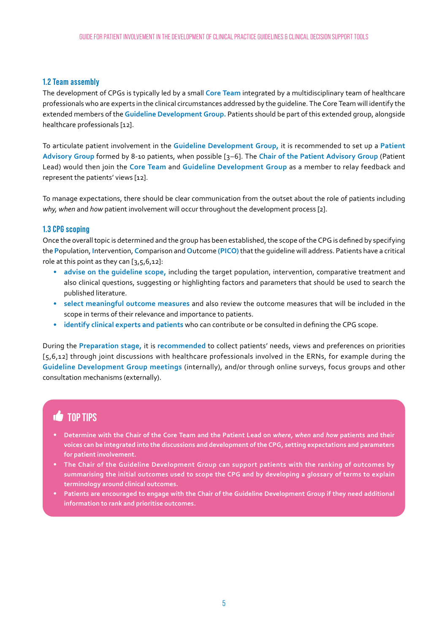#### **1.2 Team assembly**

The development of CPGs is typically led by a small **Core Team** integrated by a multidisciplinary team of healthcare professionals who are experts in the clinical circumstances addressed by the guideline. The Core Team will identify the extended members of the **Guideline Development Group.** Patients should be part of this extended group, alongside healthcare professionals [12].

To articulate patient involvement in the **Guideline Development Group,** it is recommended to set up a **Patient Advisory Group** formed by 8-10 patients, when possible [3–6]. The **Chair of the Patient Advisory Group** (Patient Lead) would then join the **Core Team** and **Guideline Development Group** as a member to relay feedback and represent the patients' views [12].

To manage expectations, there should be clear communication from the outset about the role of patients including *why, when* and *how* patient involvement will occur throughout the development process [2].

#### **1.3 CPG scoping**

Once the overall topic is determined and the group has been established, the scope of the CPG is defined by specifying the **P**opulation, **I**ntervention, **C**omparison and **O**utcome **(PICO)** that the guideline will address. Patients have a critical role at this point as they can [3,5,6,12]:

- **• advise on the guideline scope,** including the target population, intervention, comparative treatment and also clinical questions, suggesting or highlighting factors and parameters that should be used to search the published literature.
- **• select meaningful outcome measures** and also review the outcome measures that will be included in the scope in terms of their relevance and importance to patients.
- **• identify clinical experts and patients** who can contribute or be consulted in defining the CPG scope.

During the **Preparation stage,** it is **recommended** to collect patients' needs, views and preferences on priorities [5,6,12] through joint discussions with healthcare professionals involved in the ERNs, for example during the **Guideline Development Group meetings** (internally), and/or through online surveys, focus groups and other consultation mechanisms (externally).

### **TOP TIPS**

- **• Determine with the Chair of the Core Team and the Patient Lead on** *where, when* **and** *how* **patients and their voices can be integrated into the discussions and development of the CPG, setting expectations and parameters for patient involvement.**
- **• The Chair of the Guideline Development Group can support patients with the ranking of outcomes by summarising the initial outcomes used to scope the CPG and by developing a glossary of terms to explain terminology around clinical outcomes.**
- **• Patients are encouraged to engage with the Chair of the Guideline Development Group if they need additional information to rank and prioritise outcomes.**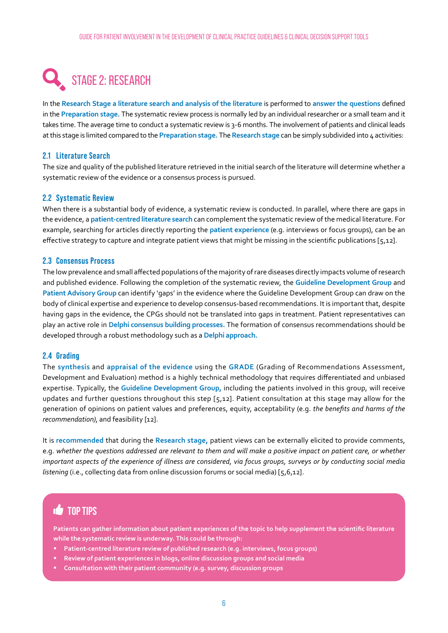## STAGE 2: RESEARCH

In the **Research Stage a literature search and analysis of the literature** is performed to **answer the questions** defined in the **Preparation stage.** The systematic review process is normally led by an individual researcher or a small team and it takes time. The average time to conduct a systematic review is 3-6 months. The involvement of patients and clinical leads at this stage is limited compared to the **Preparation stage.** The **Research stage** can be simply subdivided into 4 activities:

#### **2.1 Literature Search**

The size and quality of the published literature retrieved in the initial search of the literature will determine whether a systematic review of the evidence or a consensus process is pursued.

#### **2.2 Systematic Review**

When there is a substantial body of evidence, a systematic review is conducted. In parallel, where there are gaps in the evidence, a **patient-centred literature search** can complement the systematic review of the medical literature. For example, searching for articles directly reporting the **patient experience** (e.g. interviews or focus groups), can be an effective strategy to capture and integrate patient views that might be missing in the scientific publications [ $5,12$ ].

#### **2.3 Consensus Process**

The low prevalence and small affected populations of the majority of rare diseases directly impacts volume of research and published evidence. Following the completion of the systematic review, the **Guideline Development Group** and **Patient Advisory Group** can identify 'gaps' in the evidence where the Guideline Development Group can draw on the body of clinical expertise and experience to develop consensus-based recommendations. It is important that, despite having gaps in the evidence, the CPGs should not be translated into gaps in treatment. Patient representatives can play an active role in **Delphi consensus building processes.** The formation of consensus recommendations should be developed through a robust methodology such as a **Delphi approach.**

#### **2.4 Grading**

The **synthesis** and **appraisal of the evidence** using the **GRADE** (Grading of Recommendations Assessment, Development and Evaluation) method is a highly technical methodology that requires differentiated and unbiased expertise. Typically, the **Guideline Development Group,** including the patients involved in this group, will receive updates and further questions throughout this step [5,12]. Patient consultation at this stage may allow for the generation of opinions on patient values and preferences, equity, acceptability (e.g. *the benefits and harms of the recommendation*), and feasibility [12].

It is **recommended** that during the **Research stage,** patient views can be externally elicited to provide comments, e.g. *whether the questions addressed are relevant to them and will make a positive impact on patient care, or whether important aspects of the experience of illness are considered, via focus groups, surveys or by conducting social media listening* (i.e., collecting data from online discussion forums or social media) [5,6,12].

### **TOP TIPS**

**Patients can gather information about patient experiences of the topic to help supplement the scientific literature while the systematic review is underway. This could be through:** 

- **• Patient-centred literature review of published research (e.g. interviews, focus groups)**
- **• Review of patient experiences in blogs, online discussion groups and social media**
- **• Consultation with their patient community (e.g. survey, discussion groups**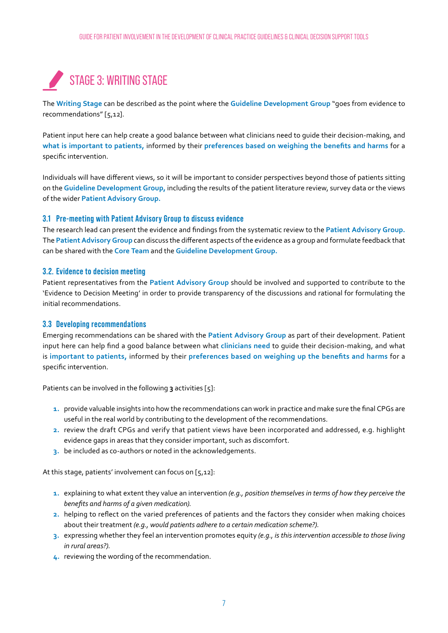### STAGE 3: WRITING STAGE

The **Writing Stage** can be described as the point where the **Guideline Development Group** "goes from evidence to recommendations" [5,12].

Patient input here can help create a good balance between what clinicians need to guide their decision-making, and **what is important to patients,** informed by their **preferences based on weighing the benefits and harms** for a specific intervention.

Individuals will have different views, so it will be important to consider perspectives beyond those of patients sitting on the **Guideline Development Group,** including the results of the patient literature review, survey data or the views of the wider **Patient Advisory Group.**

#### **3.1 Pre-meeting with Patient Advisory Group to discuss evidence**

The research lead can present the evidence and findings from the systematic review to the **Patient Advisory Group.** The **Patient Advisory Group** can discuss the different aspects of the evidence as a group and formulate feedback that can be shared with the **Core Team** and the **Guideline Development Group.**

#### **3.2. Evidence to decision meeting**

Patient representatives from the **Patient Advisory Group** should be involved and supported to contribute to the 'Evidence to Decision Meeting' in order to provide transparency of the discussions and rational for formulating the initial recommendations.

#### **3.3 Developing recommendations**

Emerging recommendations can be shared with the **Patient Advisory Group** as part of their development. Patient input here can help find a good balance between what **clinicians need** to guide their decision-making, and what is **important to patients,** informed by their **preferences based on weighing up the benefits and harms** for a specific intervention.

Patients can be involved in the following **3** activities [5]:

- **1.** provide valuable insights into how the recommendations can work in practice and make sure the final CPGs are useful in the real world by contributing to the development of the recommendations.
- **2.** review the draft CPGs and verify that patient views have been incorporated and addressed, e.g. highlight evidence gaps in areas that they consider important, such as discomfort.
- **3.** be included as co-authors or noted in the acknowledgements.

At this stage, patients' involvement can focus on [5,12]:

- **1.** explaining to what extent they value an intervention *(e.g., position themselves in terms of how they perceive the benefits and harms of a given medication).*
- **2.** helping to reflect on the varied preferences of patients and the factors they consider when making choices about their treatment *(e.g., would patients adhere to a certain medication scheme?).*
- **3.** expressing whether they feel an intervention promotes equity *(e.g., is this intervention accessible to those living in rural areas?).*
- **4.** reviewing the wording of the recommendation.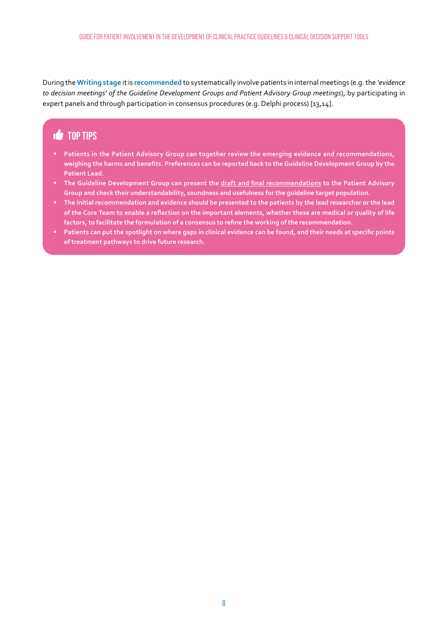During the **Writing stage** it is **recommended** to systematically involve patients in internal meetings (e.g. the *'evidence to decision meetings' of the Guideline Development Groups and Patient Advisory Group meetings*), by participating in expert panels and through participation in consensus procedures (e.g. Delphi process) [13,14].

### **TOP TIPS**

- **• Patients in the Patient Advisory Group can together review the emerging evidence and recommendations, weighing the harms and benefits. Preferences can be reported back to the Guideline Development Group by the Patient Lead.**
- **•** The Guideline Development Group can present the *draft and final recommendations* to the Patient Advisory **Group and check their understandability, soundness and usefulness for the guideline target population.**
- **• The initial recommendation and evidence should be presented to the patients by the lead researcher or the lead of the Core Team to enable a reflection on the important elements, whether these are medical or quality of life factors, to facilitate the formulation of a consensus to refine the working of the recommendation.**
- **• Patients can put the spotlight on where gaps in clinical evidence can be found, and their needs at specific points of treatment pathways to drive future research.**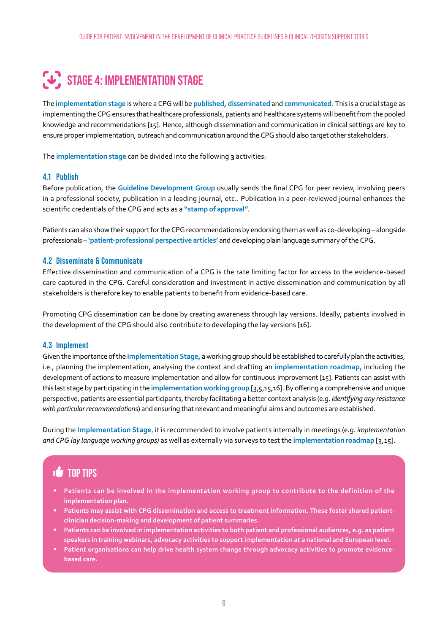## **STAGE 4: IMPLEMENTATION STAGE**

The **implementation stage** is where a CPG will be **published, disseminated** and **communicated.** This is a crucial stage as implementing the CPG ensures that healthcare professionals, patients and healthcare systems will benefit from the pooled knowledge and recommendations [15]. Hence, although dissemination and communication in clinical settings are key to ensure proper implementation, outreach and communication around the CPG should also target other stakeholders.

The **implementation stage** can be divided into the following **3** activities:

#### **4.1 Publish**

Before publication, the **Guideline Development Group** usually sends the final CPG for peer review, involving peers in a professional society, publication in a leading journal, etc.. Publication in a peer-reviewed journal enhances the scientific credentials of the CPG and acts as a **"stamp of approval"**.

Patients can also show their support for the CPG recommendations by endorsing them as well as co-developing – alongside professionals – **'patient-professional perspective articles'** and developing plain language summary of the CPG.

#### **4.2 Disseminate & Communicate**

Effective dissemination and communication of a CPG is the rate limiting factor for access to the evidence-based care captured in the CPG. Careful consideration and investment in active dissemination and communication by all stakeholders is therefore key to enable patients to benefit from evidence-based care.

Promoting CPG dissemination can be done by creating awareness through lay versions. Ideally, patients involved in the development of the CPG should also contribute to developing the lay versions [16].

#### **4.3 Implement**

Given the importance of the **Implementation Stage,** a working group should be established to carefully plan the activities, i.e., planning the implementation, analysing the context and drafting an **implementation roadmap,** including the development of actions to measure implementation and allow for continuous improvement [15]. Patients can assist with this last stage by participating in the **implementation working group** [3,5,15,16]. By offering a comprehensive and unique perspective, patients are essential participants, thereby facilitating a better context analysis (e.g. *identifying any resistance with particular recommendations*) and ensuring that relevant and meaningful aims and outcomes are established.

During the **Implementation Stage**, it is recommended to involve patients internally in meetings (e.g. *implementation and CPG lay language working groups)* as well as externally via surveys to test the **implementation roadmap** [3,15].

### **TOP TIPS**

- **• Patients can be involved in the implementation working group to contribute to the definition of the implementation plan.**
- **• Patients may assist with CPG dissemination and access to treatment information. These foster shared patientclinician decision-making and development of patient summaries.**
- **• Patients can be involved in implementation activities to both patient and professional audiences, e.g. as patient speakers in training webinars, advocacy activities to support implementation at a national and European level.**
- **• Patient organisations can help drive health system change through advocacy activities to promote evidencebased care.**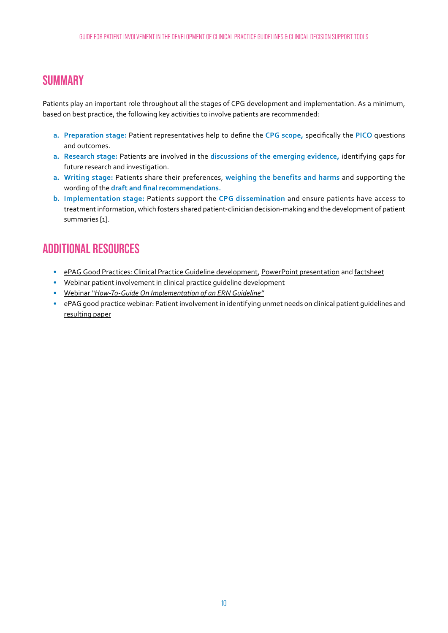### **SUMMARY**

Patients play an important role throughout all the stages of CPG development and implementation. As a minimum, based on best practice, the following key activities to involve patients are recommended:

- **a. Preparation stage:** Patient representatives help to define the **CPG scope,** specifically the **PICO** questions and outcomes.
- **a. Research stage:** Patients are involved in the **discussions of the emerging evidence,** identifying gaps for future research and investigation.
- **a. Writing stage:** Patients share their preferences, **weighing the benefits and harms** and supporting the wording of the **draft and final recommendations.**
- **b. Implementation stage:** Patients support the **CPG dissemination** and ensure patients have access to treatment information, which fosters shared patient-clinician decision-making and the development of patient summaries [1].

### **ADDITIONAL RESOURCES**

- **•** [ePAG Good Practices: Clinical Practice Guideline development](https://www.youtube.com/watch?v=dzE9dnCfVq4), [PowerPoint presentation](https://download2.eurordis.org/epag/factsheets/ePAG%20Exchange%20of%20Good%20Practices_Patient%20Engagement%20in%20CPGs.pdf) and [factsheet](https://download2.eurordis.org/epag/factsheets/ePAG%20Exchange%20of%20Good%20Practices_Patient%20Engagement%20in%20CPGs%20%281%29.pdf)
- **•** [Webinar patient involvement in clinical practice guideline development](https://www.youtube.com/watch?v=TfKJBkOR-o0)
- **•** Webinar *["How-To-Guide On Implementation of an ERN Guideline"](https://youtu.be/EIYn5VOpTHs)*
- **•** [ePAG good practice webinar: Patient involvement in identifying unmet needs on clinical patient guidelines](https://www.eurordis.org/tv?vId=2306&cId=0&wId=31) and [resulting paper](https://rmdopen.bmj.com/content/4/Suppl_1)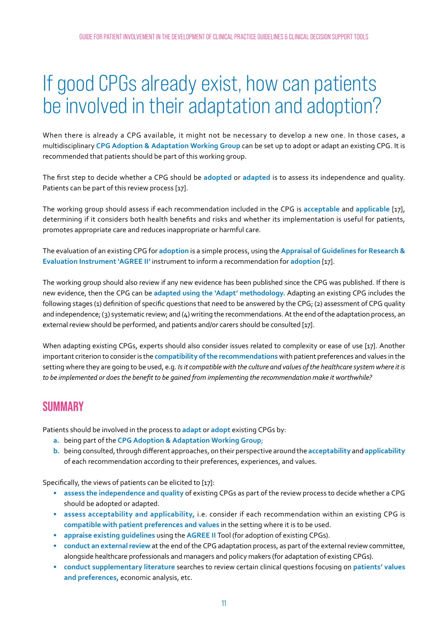# <span id="page-11-0"></span>If good CPGs already exist, how can patients be involved in their adaptation and adoption?

When there is already a CPG available, it might not be necessary to develop a new one. In those cases, a multidisciplinary **CPG Adoption & Adaptation Working Group** can be set up to adopt or adapt an existing CPG. It is recommended that patients should be part of this working group.

The first step to decide whether a CPG should be **adopted** or **adapted** is to assess its independence and quality. Patients can be part of this review process [17].

The working group should assess if each recommendation included in the CPG is **acceptable** and **applicable** [17], determining if it considers both health benefits and risks and whether its implementation is useful for patients, promotes appropriate care and reduces inappropriate or harmful care.

The evaluation of an existing CPG for **adoption** is a simple process, using the **Appraisal of Guidelines for Research & Evaluation Instrument 'AGREE II'** instrument to inform a recommendation for **adoption** [17].

The working group should also review if any new evidence has been published since the CPG was published. If there is new evidence, then the CPG can be **adapted using the 'Adapt' methodology.** Adapting an existing CPG includes the following stages (1) definition of specific questions that need to be answered by the CPG; (2) assessment of CPG quality and independence; (3) systematic review; and  $(4)$  writing the recommendations. At the end of the adaptation process, an external review should be performed, and patients and/or carers should be consulted [17].

When adapting existing CPGs, experts should also consider issues related to complexity or ease of use [17]. Another important criterion to consider is the **compatibility of the recommendations** with patient preferences and values in the setting where they are going to be used, e.g. *Is it compatible with the culture and values of the healthcare system where it is to be implemented or does the benefit to be gained from implementing the recommendation make it worthwhile?* 

### **SUMMARY**

Patients should be involved in the process to **adapt** or **adopt** existing CPGs by:

- **a.** being part of the **CPG Adoption & Adaptation Working Group**;
- **b.** being consulted, through different approaches, on their perspective around the **acceptability** and **applicability**  of each recommendation according to their preferences, experiences, and values.

Specifically, the views of patients can be elicited to [17]:

- **• assess the independence and quality** of existing CPGs as part of the review process to decide whether a CPG should be adopted or adapted.
- **• assess acceptability and applicability,** i.e. consider if each recommendation within an existing CPG is **compatible with patient preferences and values** in the setting where it is to be used.
- **• appraise existing guidelines** using the **AGREE II** Tool (for adoption of existing CPGs).
- **• conduct an external review** at the end of the CPG adaptation process, as part of the external review committee, alongside healthcare professionals and managers and policy makers (for adaptation of existing CPGs).
- **• conduct supplementary literature** searches to review certain clinical questions focusing on **patients' values and preferences,** economic analysis, etc.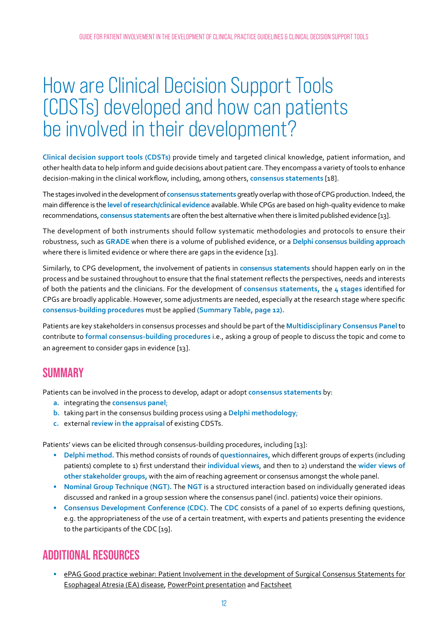## <span id="page-12-0"></span>How are Clinical Decision Support Tools (CDSTs) developed and how can patients be involved in their development?

**Clinical decision support tools (CDSTs)** provide timely and targeted clinical knowledge, patient information, and other health data to help inform and guide decisions about patient care. They encompass a variety of tools to enhance decision-making in the clinical workflow, including, among others, **consensus statements** [18].

The stages involved in the development of **consensus statements** greatly overlap with those of CPG production. Indeed, the main difference is the **level of research/clinical evidence** available. While CPGs are based on high-quality evidence to make recommendations, **consensus statements** are often the best alternative when there is limited published evidence [13].

The development of both instruments should follow systematic methodologies and protocols to ensure their robustness, such as **GRADE** when there is a volume of published evidence, or a **Delphi consensus building approach** where there is limited evidence or where there are gaps in the evidence [13].

Similarly, to CPG development, the involvement of patients in **consensus statements** should happen early on in the process and be sustained throughout to ensure that the final statement reflects the perspectives, needs and interests of both the patients and the clinicians. For the development of **consensus statements,** the **4 stages** identified for CPGs are broadly applicable. However, some adjustments are needed, especially at the research stage where specific **consensus-building procedures** must be applied **(Summary Table, page 12).**

Patients are key stakeholders in consensus processes and should be part of the **Multidisciplinary Consensus Panel** to contribute to **formal consensus-building procedures** i.e., asking a group of people to discuss the topic and come to an agreement to consider gaps in evidence [13].

### **SUMMARY**

Patients can be involved in the process to develop, adapt or adopt **consensus statements** by:

- **a.** integrating the **consensus panel**;
- **b.** taking part in the consensus building process using a **Delphi methodology**;
- **c.** external **review in the appraisal** of existing CDSTs.

Patients' views can be elicited through consensus-building procedures, including [13]:

- **• Delphi method.** This method consists of rounds of **questionnaires,** which different groups of experts (including patients) complete to 1) first understand their **individual views**, and then to 2) understand the **wider views of other stakeholder groups,** with the aim of reaching agreement or consensus amongst the whole panel.
- **• Nominal Group Technique (NGT).** The **NGT** is a structured interaction based on individually generated ideas discussed and ranked in a group session where the consensus panel (incl. patients) voice their opinions.
- **• Consensus Development Conference (CDC).** The **CDC** consists of a panel of 10 experts defining questions, e.g. the appropriateness of the use of a certain treatment, with experts and patients presenting the evidence to the participants of the CDC [19].

### **ADDITIONAL RESOURCES**

**•** [ePAG Good practice webinar: Patient Involvement in the development of Surgical Consensus Statements for](https://www.eurordis.org/tv?vId=2416&cId=0&wId=31)  [Esophageal Atresia \(EA\) disease](https://www.eurordis.org/tv?vId=2416&cId=0&wId=31), [PowerPoint presentation](http://download2.eurordis.org.s3.amazonaws.com/epag/ERNICA_04072019_FINAL.pdf) and [Factsheet](http://download2.eurordis.org.s3.amazonaws.com/epag/ERNICA_Consensus%20Statements_July%202019_FINAL.pdf)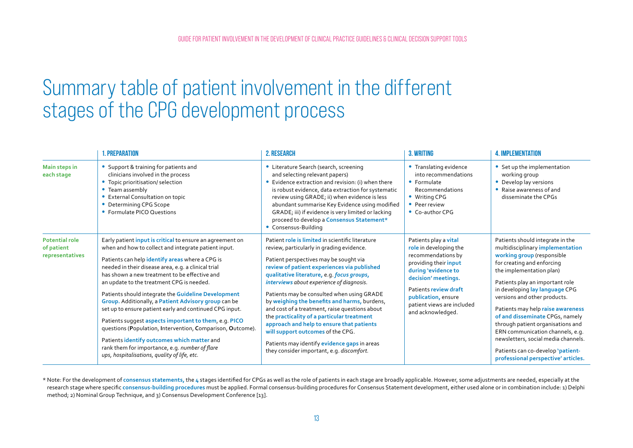## <span id="page-13-0"></span>Summary table of patient involvement in the different stages of the CPG development process

|                                                        | <b>1. PREPARATION</b>                                                                                                                                                                                                                                                                                                                                                                                                                                                                                                                                                                                                                                                                                                                                                              | <b>2. RESEARCH</b>                                                                                                                                                                                                                                                                                                                                                                                                                                                                                                                                                                                                                                             | 3. WRITING                                                                                                                                                                                                                                      | <b>4. IMPLEMENTATION</b>                                                                                                                                                                                                                                                                                                                                                                                                                                                                                                              |
|--------------------------------------------------------|------------------------------------------------------------------------------------------------------------------------------------------------------------------------------------------------------------------------------------------------------------------------------------------------------------------------------------------------------------------------------------------------------------------------------------------------------------------------------------------------------------------------------------------------------------------------------------------------------------------------------------------------------------------------------------------------------------------------------------------------------------------------------------|----------------------------------------------------------------------------------------------------------------------------------------------------------------------------------------------------------------------------------------------------------------------------------------------------------------------------------------------------------------------------------------------------------------------------------------------------------------------------------------------------------------------------------------------------------------------------------------------------------------------------------------------------------------|-------------------------------------------------------------------------------------------------------------------------------------------------------------------------------------------------------------------------------------------------|---------------------------------------------------------------------------------------------------------------------------------------------------------------------------------------------------------------------------------------------------------------------------------------------------------------------------------------------------------------------------------------------------------------------------------------------------------------------------------------------------------------------------------------|
| Main steps in<br>each stage                            | Support & training for patients and<br>clinicians involved in the process<br>• Topic prioritisation/ selection<br>• Team assembly<br>External Consultation on topic<br>• Determining CPG Scope<br>• Formulate PICO Questions                                                                                                                                                                                                                                                                                                                                                                                                                                                                                                                                                       | • Literature Search (search, screening<br>and selecting relevant papers)<br>• Evidence extraction and revision: (i) when there<br>is robust evidence, data extraction for systematic<br>review using GRADE; ii) when evidence is less<br>abundant summarise Key Evidence using modified<br>GRADE; iii) if evidence is very limited or lacking<br>proceed to develop a Consensus Statement*<br>• Consensus-Building                                                                                                                                                                                                                                             | • Translating evidence<br>into recommendations<br>• Formulate<br>Recommendations<br>• Writing CPG<br>• Peer review<br>• Co-author CPG                                                                                                           | • Set up the implementation<br>working group<br>• Develop lay versions<br>• Raise awareness of and<br>disseminate the CPGs                                                                                                                                                                                                                                                                                                                                                                                                            |
| <b>Potential role</b><br>of patient<br>representatives | Early patient <i>input is critical</i> to ensure an agreement on<br>when and how to collect and integrate patient input.<br>Patients can help identify areas where a CPG is<br>needed in their disease area, e.g. a clinical trial<br>has shown a new treatment to be effective and<br>an update to the treatment CPG is needed.<br>Patients should integrate the Guideline Development<br>Group. Additionally, a Patient Advisory group can be<br>set up to ensure patient early and continued CPG input.<br>Patients suggest aspects important to them, e.g. PICO<br>questions (Population, Intervention, Comparison, Outcome).<br>Patients identify outcomes which matter and<br>rank them for importance, e.g. number of flare<br>ups, hospitalisations, quality of life, etc. | Patient role is limited in scientific literature<br>review, particularly in grading evidence.<br>Patient perspectives may be sought via<br>review of patient experiences via published<br>qualitative literature, e.g. focus groups,<br>interviews about experience of diagnosis.<br>Patients may be consulted when using GRADE<br>by weighing the benefits and harms, burdens,<br>and cost of a treatment, raise questions about<br>the practicality of a particular treatment<br>approach and help to ensure that patients<br>will support outcomes of the CPG.<br>Patients may identify evidence gaps in areas<br>they consider important, e.g. discomfort. | Patients play a vital<br>role in developing the<br>recommendations by<br>providing their input<br>during 'evidence to<br>decision' meetings.<br>Patients review draft<br>publication, ensure<br>patient views are included<br>and acknowledged. | Patients should integrate in the<br>multidisciplinary implementation<br>working group (responsible<br>for creating and enforcing<br>the implementation plan)<br>Patients play an important role<br>in developing lay language CPG<br>versions and other products.<br>Patients may help raise awareness<br>of and disseminate CPGs, namely<br>through patient organisations and<br>ERN communication channels, e.g.<br>newsletters, social media channels.<br>Patients can co-develop 'patient-<br>professional perspective' articles. |

\* Note: For the development of consensus statements, the 4 stages identified for CPGs as well as the role of patients in each stage are broadly applicable. However, some adjustments are needed, especially at the research stage where specific **consensus-building procedures** must be applied. Formal consensus-building procedures for Consensus Statement development, either used alone or in combination include: 1) Delphi method; 2) Nominal Group Technique, and 3) Consensus Development Conference [13].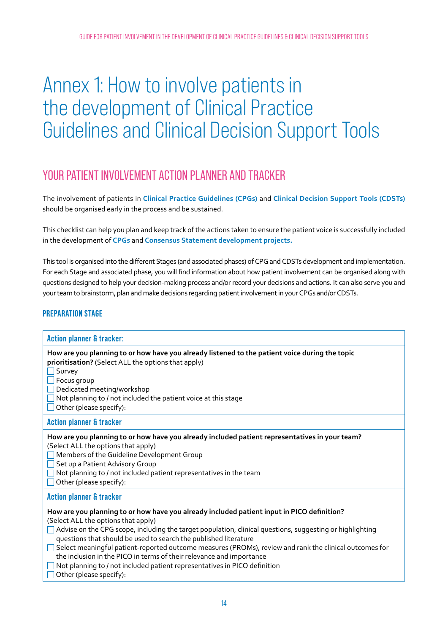# <span id="page-14-0"></span>Annex 1: How to involve patients in the development of Clinical Practice Guidelines and Clinical Decision Support Tools

### YOUR PATIENT INVOLVEMENT ACTION PLANNER AND TRACKER

The involvement of patients in **Clinical Practice Guidelines (CPGs)** and **Clinical Decision Support Tools (CDSTs)**  should be organised early in the process and be sustained.

This checklist can help you plan and keep track of the actions taken to ensure the patient voice is successfully included in the development of **CPGs** and **Consensus Statement development projects.**

This tool is organised into the different Stages (and associated phases) of CPG and CDSTs development and implementation. For each Stage and associated phase, you will find information about how patient involvement can be organised along with questions designed to help your decision-making process and/or record your decisions and actions. It can also serve you and your team to brainstorm, plan and make decisions regarding patient involvement in your CPGs and/or CDSTs.

#### **PREPARATION STAGE**

| <b>Action planner &amp; tracker:</b>                                                                                                                                                                                                                                                                                                                                                                                                                                                                                                                                                                        |
|-------------------------------------------------------------------------------------------------------------------------------------------------------------------------------------------------------------------------------------------------------------------------------------------------------------------------------------------------------------------------------------------------------------------------------------------------------------------------------------------------------------------------------------------------------------------------------------------------------------|
| How are you planning to or how have you already listened to the patient voice during the topic<br>prioritisation? (Select ALL the options that apply)<br>Survey<br>Focus group<br>Dedicated meeting/workshop<br>Not planning to / not included the patient voice at this stage<br>Other (please specify):                                                                                                                                                                                                                                                                                                   |
| <b>Action planner &amp; tracker</b>                                                                                                                                                                                                                                                                                                                                                                                                                                                                                                                                                                         |
| How are you planning to or how have you already included patient representatives in your team?<br>(Select ALL the options that apply)<br>Members of the Guideline Development Group<br>Set up a Patient Advisory Group<br>Not planning to / not included patient representatives in the team<br>Other (please specify):                                                                                                                                                                                                                                                                                     |
| <b>Action planner &amp; tracker</b>                                                                                                                                                                                                                                                                                                                                                                                                                                                                                                                                                                         |
| How are you planning to or how have you already included patient input in PICO definition?<br>(Select ALL the options that apply)<br>Advise on the CPG scope, including the target population, clinical questions, suggesting or highlighting<br>questions that should be used to search the published literature<br>Select meaningful patient-reported outcome measures (PROMs), review and rank the clinical outcomes for<br>the inclusion in the PICO in terms of their relevance and importance<br>Not planning to / not included patient representatives in PICO definition<br>Other (please specify): |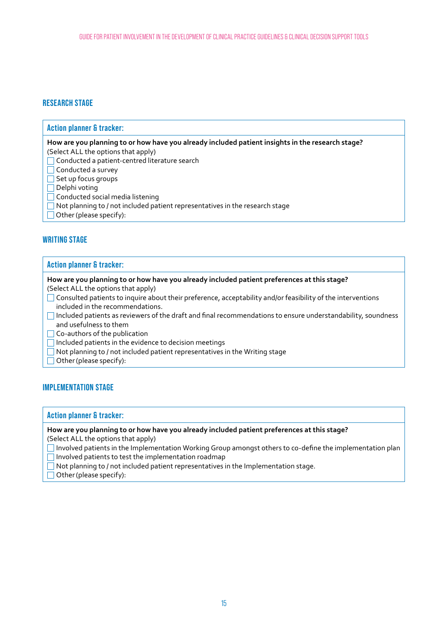#### **RESEARCH STAGE**

#### **Action planner & tracker:**

**How are you planning to or how have you already included patient insights in the research stage?**

- (Select ALL the options that apply) Conducted a patient-centred literature search
- 
- Conducted a survey
- $\Box$  Set up focus groups
- $\Box$  Delphi voting
- Conducted social media listening
- Not planning to / not included patient representatives in the research stage
- Other (please specify):

#### **WRITING STAGE**

#### **Action planner & tracker:**

**How are you planning to or how have you already included patient preferences at this stage?**

(Select ALL the options that apply)

- Consulted patients to inquire about their preference, acceptability and/or feasibility of the interventions included in the recommendations.
- Included patients as reviewers of the draft and final recommendations to ensure understandability, soundness and usefulness to them

Co-authors of the publication

 $\Box$  Included patients in the evidence to decision meetings

- $\Box$  Not planning to / not included patient representatives in the Writing stage
- Other (please specify):

#### **IMPLEMENTATION STAGE**

#### **Action planner & tracker:**

**How are you planning to or how have you already included patient preferences at this stage?**

(Select ALL the options that apply)

 Involved patients in the Implementation Working Group amongst others to co-define the implementation plan  $\Box$  Involved patients to test the implementation roadmap

 $\Box$  Not planning to / not included patient representatives in the Implementation stage.

 $\Box$  Other (please specify):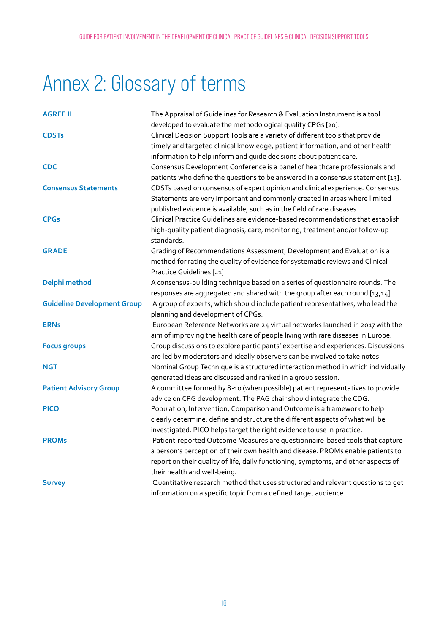# <span id="page-16-0"></span>Annex 2: Glossary of terms

| <b>AGREE II</b>                    | The Appraisal of Guidelines for Research & Evaluation Instrument is a tool<br>developed to evaluate the methodological quality CPGs [20].                                                                                                                                             |
|------------------------------------|---------------------------------------------------------------------------------------------------------------------------------------------------------------------------------------------------------------------------------------------------------------------------------------|
| <b>CDSTs</b>                       | Clinical Decision Support Tools are a variety of different tools that provide<br>timely and targeted clinical knowledge, patient information, and other health<br>information to help inform and guide decisions about patient care.                                                  |
| <b>CDC</b>                         | Consensus Development Conference is a panel of healthcare professionals and<br>patients who define the questions to be answered in a consensus statement [13].                                                                                                                        |
| <b>Consensus Statements</b>        | CDSTs based on consensus of expert opinion and clinical experience. Consensus<br>Statements are very important and commonly created in areas where limited<br>published evidence is available, such as in the field of rare diseases.                                                 |
| <b>CPGs</b>                        | Clinical Practice Guidelines are evidence-based recommendations that establish<br>high-quality patient diagnosis, care, monitoring, treatment and/or follow-up<br>standards.                                                                                                          |
| <b>GRADE</b>                       | Grading of Recommendations Assessment, Development and Evaluation is a<br>method for rating the quality of evidence for systematic reviews and Clinical<br>Practice Guidelines [21].                                                                                                  |
| Delphi method                      | A consensus-building technique based on a series of questionnaire rounds. The<br>responses are aggregated and shared with the group after each round [13,14].                                                                                                                         |
| <b>Guideline Development Group</b> | A group of experts, which should include patient representatives, who lead the<br>planning and development of CPGs.                                                                                                                                                                   |
| <b>ERNs</b>                        | European Reference Networks are 24 virtual networks launched in 2017 with the<br>aim of improving the health care of people living with rare diseases in Europe.                                                                                                                      |
| <b>Focus groups</b>                | Group discussions to explore participants' expertise and experiences. Discussions<br>are led by moderators and ideally observers can be involved to take notes.                                                                                                                       |
| <b>NGT</b>                         | Nominal Group Technique is a structured interaction method in which individually<br>generated ideas are discussed and ranked in a group session.                                                                                                                                      |
| <b>Patient Advisory Group</b>      | A committee formed by 8-10 (when possible) patient representatives to provide<br>advice on CPG development. The PAG chair should integrate the CDG.                                                                                                                                   |
| <b>PICO</b>                        | Population, Intervention, Comparison and Outcome is a framework to help<br>clearly determine, define and structure the different aspects of what will be<br>investigated. PICO helps target the right evidence to use in practice.                                                    |
| <b>PROMs</b>                       | Patient-reported Outcome Measures are questionnaire-based tools that capture<br>a person's perception of their own health and disease. PROMs enable patients to<br>report on their quality of life, daily functioning, symptoms, and other aspects of<br>their health and well-being. |
| <b>Survey</b>                      | Quantitative research method that uses structured and relevant questions to get<br>information on a specific topic from a defined target audience.                                                                                                                                    |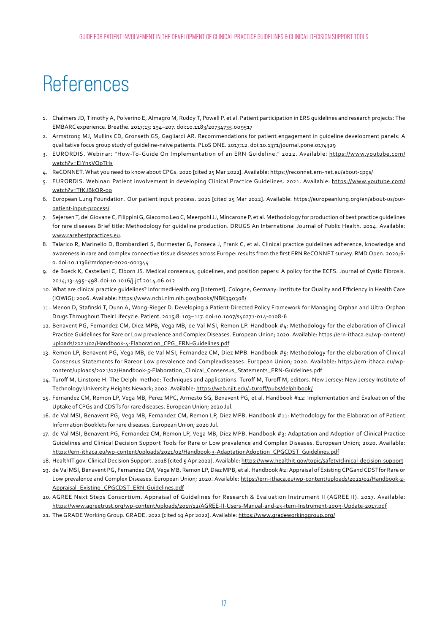### <span id="page-17-0"></span>References

- 1. Chalmers JD, Timothy A, Polverino E, Almagro M, Ruddy T, Powell P, et al. Patient participation in ERS guidelines and research projects: The EMBARC experience. Breathe. 2017;13: 194–207. doi:10.1183/20734735.009517
- 2. Armstrong MJ, Mullins CD, Gronseth GS, Gagliardi AR. Recommendations for patient engagement in guideline development panels: A qualitative focus group study of guideline-naïve patients. PLoS ONE. 2017;12. doi:10.1371/journal.pone.0174329
- 3. EURORDIS. Webinar: "How-To-Guide On Implementation of an ERN Guideline." 2022. Available: [https://www.youtube.com/](https://www.youtube.com/watch?v=EIYn5VOpTHs) [watch?v=EIYn5VOpTHs](https://www.youtube.com/watch?v=EIYn5VOpTHs)
- 4. ReCONNET. What you need to know about CPGs. 2020 [cited 25 Mar 2022]. Available:<https://reconnet.ern-net.eu/about-cpgs/>
- 5. EURORDIS. Webinar: Patient involvement in developing Clinical Practice Guidelines. 2021. Available: [https://www.youtube.com/](https://www.youtube.com/watch?v=TfKJBkOR-o0) [watch?v=TfKJBkOR-o0](https://www.youtube.com/watch?v=TfKJBkOR-o0)
- 6. European Lung Foundation. Our patient input process. 2021 [cited 25 Mar 2022]. Available: [https://europeanlung.org/en/about-us/our](http://https://europeanlung.org/en/about-us/our-patient-input-process/)[patient-input-process/](http://https://europeanlung.org/en/about-us/our-patient-input-process/)
- 7. Sejersen T, del Giovane C, Filippini G, Giacomo Leo C, Meerpohl JJ, Mincarone P, et al. Methodology for production of best practice guidelines for rare diseases Brief title: Methodology for guideline production. DRUGS An International Journal of Public Health. 2014. Available: [www.rarebestpractices.eu](http://www.rarebestpractices.eu).
- 8. Talarico R, Marinello D, Bombardieri S, Burmester G, Fonseca J, Frank C, et al. Clinical practice guidelines adherence, knowledge and awareness in rare and complex connective tissue diseases across Europe: results from the first ERN ReCONNET survey. RMD Open. 2020;6: 0. doi:10.1136/rmdopen-2020-001344
- 9. de Boeck K, Castellani C, Elborn JS. Medical consensus, guidelines, and position papers: A policy for the ECFS. Journal of Cystic Fibrosis. 2014;13: 495–498. doi:10.1016/j.jcf.2014.06.012
- 10. What are clinical practice guidelines? InformedHealth.org [Internet]. Cologne, Germany: Institute for Quality and Efficiency in Health Care (IQWiG); 2006. Available:<https://www.ncbi.nlm.nih.gov/books/NBK390308/>
- 11. Menon D, Stafinski T, Dunn A, Wong-Rieger D. Developing a Patient-Directed Policy Framework for Managing Orphan and Ultra-Orphan Drugs Throughout Their Lifecycle. Patient. 2015;8: 103–117. doi:10.1007/s40271-014-0108-6
- 12. Benavent PG, Fernandez CM, Diez MPB, Vega MB, de Val MSI, Remon LP. Handbook #4: Methodology for the elaboration of Clinical Practice Guidelines for Rare or Low prevalence and Complex Diseases. European Union; 2020. Available: [https://ern-ithaca.eu/wp-content/](https://ern-ithaca.eu/wp-content/uploads/2021/02/Handbook-4-Elaboration_CPG_ERN-Guidelines.pdf) [uploads/2021/02/Handbook-4-Elaboration\\_CPG\\_ERN-Guidelines.pdf](https://ern-ithaca.eu/wp-content/uploads/2021/02/Handbook-4-Elaboration_CPG_ERN-Guidelines.pdf)
- 13. Remon LP, Benavent PG, Vega MB, de Val MSI, Fernandez CM, Diez MPB. Handbook #5: Methodology for the elaboration of Clinical Consensus Statements for Rareor Low prevalence and Complexdiseases. European Union; 2020. Available: [https://ern-ithaca.eu/wp](https://ern-ithaca.eu/wp-content/uploads/2021/02/Handbook-5-Elaboration_Clinical_Consensus_Statements_ERN-Guidelines.pdf)[content/uploads/2021/02/Handbook-5-Elaboration\\_Clinical\\_Consensus\\_Statements\\_ERN-Guidelines.pdf](https://ern-ithaca.eu/wp-content/uploads/2021/02/Handbook-5-Elaboration_Clinical_Consensus_Statements_ERN-Guidelines.pdf)
- 14. Turoff M, Linstone H. The Delphi method: Techniques and applications. Turoff M, Turoff M, editors. New Jersey: New Jersey Institute of Technology University Heights Newark; 2002. Available:<https://web.njit.edu/~turoff/pubs/delphibook/>
- 15. Fernandez CM, Remon LP, Vega MB, Perez MPC, Armesto SG, Benavent PG, et al. Handbook #12: Implementation and Evaluation of the Uptake of CPGs and CDSTs for rare diseases. European Union; 2020 Jul.
- 16. de Val MSI, Benavent PG, Vega MB, Fernandez CM, Remon LP, Diez MPB. Handbook #11: Methodology for the Elaboration of Patient Information Booklets for rare diseases. European Union; 2020 Jul.
- 17. de Val MSI, Benavent PG, Fernandez CM, Remon LP, Vega MB, Diez MPB. Handbook #3: Adaptation and Adoption of Clinical Practice Guidelines and Clinical Decision Support Tools for Rare or Low prevalence and Complex Diseases. European Union; 2020. Available: [https://ern-ithaca.eu/wp-content/uploads/2021/02/Handbook-3-AdaptationAdoption\\_CPGCDST\\_Guidelines.pdf](https://ern-ithaca.eu/wp-content/uploads/2021/02/Handbook-3-AdaptationAdoption_CPGCDST_Guidelines.pdf)
- 18. HealthIT.gov. Clinical Decision Support. 2018 [cited 5 Apr 2022]. Available:<https://www.healthit.gov/topic/safety/clinical-decision-support>
- 19. de Val MSI, Benavent PG, Fernandez CM, Vega MB, Remon LP, Diez MPB, et al. Handbook #2: Appraisal of Existing CPGand CDSTfor Rare or Low prevalence and Complex Diseases. European Union; 2020. Available: [https://ern-ithaca.eu/wp-content/uploads/2021/02/Handbook-2-](https://ern-ithaca.eu/wp-content/uploads/2021/02/Handbook-2-Appraisal_Existing_CPGCDST_ERN-Guidelines.pdf) [Appraisal\\_Existing\\_CPGCDST\\_ERN-Guidelines.pdf](https://ern-ithaca.eu/wp-content/uploads/2021/02/Handbook-2-Appraisal_Existing_CPGCDST_ERN-Guidelines.pdf)
- 20. AGREE Next Steps Consortium. Appraisal of Guidelines for Research & Evaluation Instrument II (AGREE II). 2017. Available: <https://www.agreetrust.org/wp-content/uploads/2017/12/AGREE-II-Users-Manual-and-23-item-Instrument-2009-Update-2017.pdf>
- 21. The GRADE Working Group. GRADE. 2022 [cited 19 Apr 2022]. Available:<https://www.gradeworkinggroup.org/>